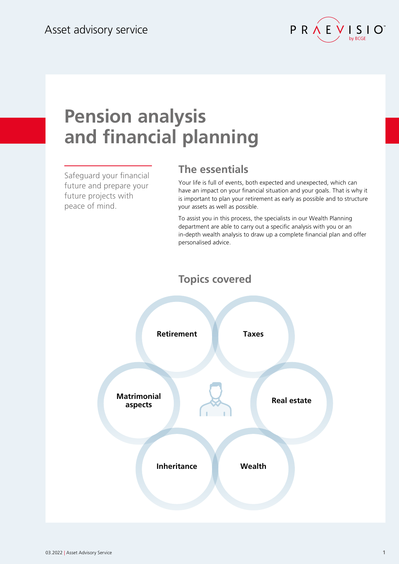

# **Pension analysis and financial planning**

Safeguard your financial future and prepare your future projects with peace of mind.

### **The essentials**

Your life is full of events, both expected and unexpected, which can have an impact on your financial situation and your goals. That is why it is important to plan your retirement as early as possible and to structure your assets as well as possible.

To assist you in this process, the specialists in our Wealth Planning department are able to carry out a specific analysis with you or an in-depth wealth analysis to draw up a complete financial plan and offer personalised advice.

#### **Topics covered**

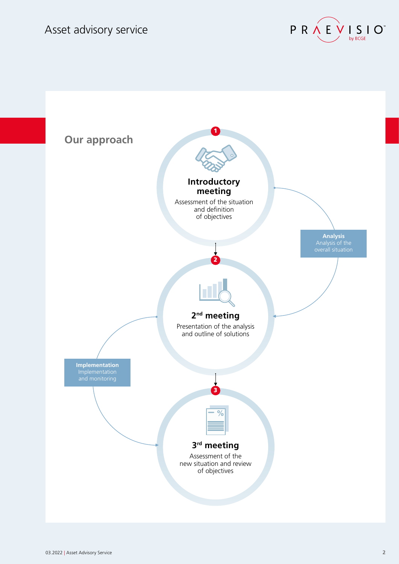